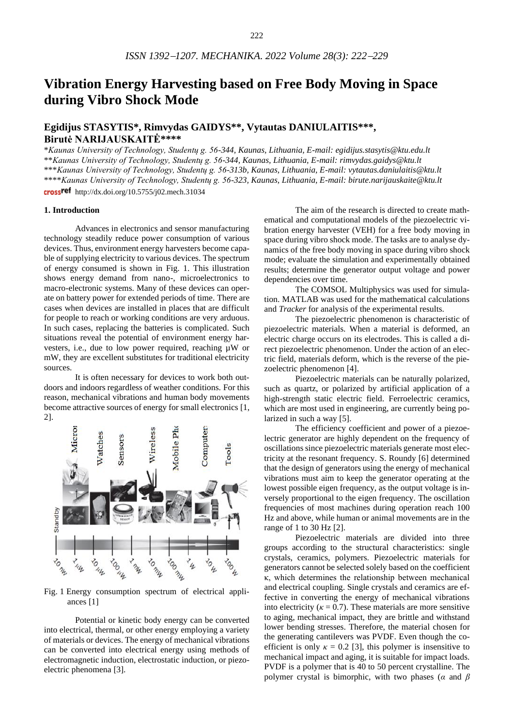# **Vibration Energy Harvesting based on Free Body Moving in Space during Vibro Shock Mode**

## **Egidijus STASYTIS\*, Rimvydas GAIDYS\*\*, Vytautas DANIULAITIS\*\*\*, Birutė NARIJAUSKAITĖ\*\*\*\***

\**Kaunas University of Technology, Studentų g. 56-344, Kaunas, Lithuania, E-mail[: egidijus.stasytis@ktu.edu.lt](mailto:egidijus.stasytis@ktu.edu.lt)* \*\**Kaunas University of Technology, Studentų g. 56-344, Kaunas, Lithuania, E-mail: rimvyda[s.gaidys@ktu.lt](mailto:.gaidys@ktu.lt)* \*\*\**Kaunas University of Technology, Studentų g. 56-313b, Kaunas, Lithuania, E-mail: vytautas.daniulaiti[s@ktu.lt](mailto:Egidijus.Stasytis@ktu.edu.lt)* \*\*\*\**Kaunas University of Technology, Studentų g. 56-323, Kaunas, Lithuania, E-mail: birute.narijauskait[e@ktu.lt](mailto:Egidijus.Stasytis@ktu.edu.lt)*

crossref http://dx.doi.org/10.5755/j02.mech.31034

#### **1. Introduction**

Advances in electronics and sensor manufacturing technology steadily reduce power consumption of various devices. Thus, environment energy harvesters become capable of supplying electricity to various devices. The spectrum of energy consumed is shown in Fig. 1. This illustration shows energy demand from nano-, microelectronics to macro-electronic systems. Many of these devices can operate on battery power for extended periods of time. There are cases when devices are installed in places that are difficult for people to reach or working conditions are very arduous. In such cases, replacing the batteries is complicated. Such situations reveal the potential of environment energy harvesters, i.e., due to low power required, reaching µW or mW, they are excellent substitutes for traditional electricity sources.

It is often necessary for devices to work both outdoors and indoors regardless of weather conditions. For this reason, mechanical vibrations and human body movements become attractive sources of energy for small electronics [1, 2].



Fig. 1 Energy consumption spectrum of electrical appliances [1]

Potential or kinetic body energy can be converted into electrical, thermal, or other energy employing a variety of materials or devices. The energy of mechanical vibrations can be converted into electrical energy using methods of electromagnetic induction, electrostatic induction, or piezoelectric phenomena [3].

The aim of the research is directed to create mathematical and computational models of the piezoelectric vibration energy harvester (VEH) for a free body moving in space during vibro shock mode. The tasks are to analyse dynamics of the free body moving in space during vibro shock mode; evaluate the simulation and experimentally obtained results; determine the generator output voltage and power dependencies over time.

The COMSOL Multiphysics was used for simulation. MATLAB was used for the mathematical calculations and *Tracker* for analysis of the experimental results.

The piezoelectric phenomenon is characteristic of piezoelectric materials. When a material is deformed, an electric charge occurs on its electrodes. This is called a direct piezoelectric phenomenon. Under the action of an electric field, materials deform, which is the reverse of the piezoelectric phenomenon [4].

Piezoelectric materials can be naturally polarized, such as quartz, or polarized by artificial application of a high-strength static electric field. Ferroelectric ceramics, which are most used in engineering, are currently being polarized in such a way [5].

The efficiency coefficient and power of a piezoelectric generator are highly dependent on the frequency of oscillations since piezoelectric materials generate most electricity at the resonant frequency. S. Roundy [6] determined that the design of generators using the energy of mechanical vibrations must aim to keep the generator operating at the lowest possible eigen frequency, as the output voltage is inversely proportional to the eigen frequency. The oscillation frequencies of most machines during operation reach 100 Hz and above, while human or animal movements are in the range of 1 to 30 Hz [2].

Piezoelectric materials are divided into three groups according to the structural characteristics: single crystals, ceramics, polymers. Piezoelectric materials for generators cannot be selected solely based on the coefficient κ, which determines the relationship between mechanical and electrical coupling. Single crystals and ceramics are effective in converting the energy of mechanical vibrations into electricity ( $\kappa = 0.7$ ). These materials are more sensitive to aging, mechanical impact, they are brittle and withstand lower bending stresses. Therefore, the material chosen for the generating cantilevers was PVDF. Even though the coefficient is only  $\kappa = 0.2$  [3], this polymer is insensitive to mechanical impact and aging, it is suitable for impact loads. PVDF is a polymer that is 40 to 50 percent crystalline. The polymer crystal is bimorphic, with two phases (*α* and *β*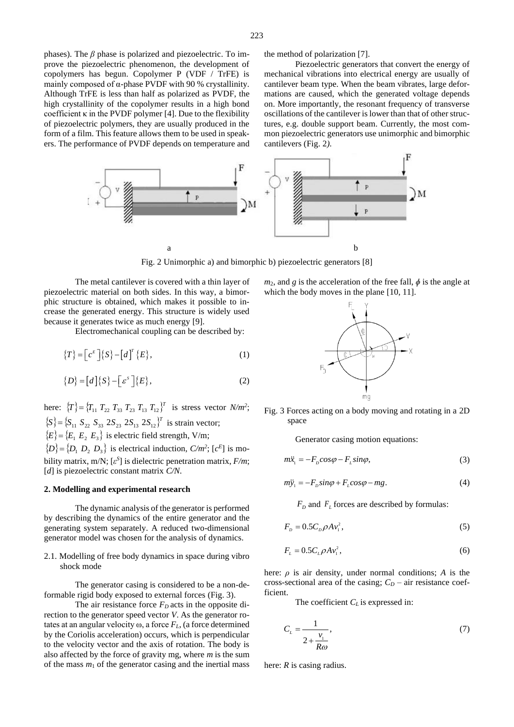phases). The *β* phase is polarized and piezoelectric. To improve the piezoelectric phenomenon, the development of copolymers has begun. Copolymer P (VDF / TrFE) is mainly composed of  $\alpha$ -phase PVDF with 90 % crystallinity. Although TrFE is less than half as polarized as PVDF, the high crystallinity of the copolymer results in a high bond coefficient  $\kappa$  in the PVDF polymer [4]. Due to the flexibility of piezoelectric polymers, they are usually produced in the form of a film. This feature allows them to be used in speakers. The performance of PVDF depends on temperature and the method of polarization [7].

Piezoelectric generators that convert the energy of mechanical vibrations into electrical energy are usually of cantilever beam type. When the beam vibrates, large deformations are caused, which the generated voltage depends on. More importantly, the resonant frequency of transverse oscillations of the cantilever is lower than that of other structures, e.g. double support beam. Currently, the most common piezoelectric generators use unimorphic and bimorphic cantilevers (Fig. 2*).*



Fig. 2 Unimorphic a) and bimorphic b) piezoelectric generators [8]

The metal cantilever is covered with a thin layer of piezoelectric material on both sides. In this way, a bimorphic structure is obtained, which makes it possible to increase the generated energy. This structure is widely used because it generates twice as much energy [9].

Electromechanical coupling can be described by:

$$
\{T\} = \left[c^E\right] \{S\} - \left[d\right]^T \{E\},\tag{1}
$$

$$
\{D\} = [d]\{S\} - [e^s]\{E\},\tag{2}
$$

here:  $\{T\} = \{T_{11} T_{22} T_{33} T_{23} T_{13} T_{12}\}^T$  is stress vector *N/m<sup>2</sup>*;  ${S}$   ${S}$  = { ${S}_{11}$   ${S}_{22}$   ${S}_{33}$   $2{S}_{23}$   $2{S}_{13}$   $2{S}_{12}$ }<sup>*T*</sup> is strain vector;  $\{E\} = \{E_1 \ E_2 \ E_3\}$  is electric field strength, V/m;

 $\{D\} = \{D_1 \ D_2 \ D_3\}$  is electrical induction, *C/m<sup>2</sup>*;  $[c^E]$  is mobility matrix, m/N; [*ε S* ] is dielectric penetration matrix, *F/m*; [*d*] is piezoelectric constant matrix *C/N*.

### **2. Modelling and experimental research**

The dynamic analysis of the generator is performed by describing the dynamics of the entire generator and the generating system separately. A reduced two-dimensional generator model was chosen for the analysis of dynamics.

2.1. Modelling of free body dynamics in space during vibro shock mode

The generator casing is considered to be a non-deformable rigid body exposed to external forces (Fig. 3).

The air resistance force *FD* acts in the opposite direction to the generator speed vector *V*. As the generator rotates at an angular velocity ω, a force *FL*, (a force determined by the Coriolis acceleration) occurs, which is perpendicular to the velocity vector and the axis of rotation. The body is also affected by the force of gravity mg, where *m* is the sum of the mass  $m_1$  of the generator casing and the inertial mass  $m_2$ , and *g* is the acceleration of the free fall,  $\phi$  is the angle at which the body moves in the plane [10, 11].



Fig. 3 Forces acting on a body moving and rotating in a 2D space

Generator casing motion equations:

$$
m\ddot{x}_1 = -F_D \cos \varphi - F_L \sin \varphi, \tag{3}
$$

$$
m\ddot{y}_1 = -F_{\rho} sin\varphi + F_{\rho} cos\varphi - mg.
$$
 (4)

 $F<sub>D</sub>$  and  $F<sub>L</sub>$  forces are described by formulas:

$$
FD = 0.5 CD \rho A v12,
$$
\n(5)

$$
F_{\scriptscriptstyle L} = 0.5 C_{\scriptscriptstyle L} \rho A v_{\scriptscriptstyle 1}^2,\tag{6}
$$

here: *ρ* is air density, under normal conditions; *A* is the cross-sectional area of the casing;  $C_D$  – air resistance coefficient.

The coefficient *C<sup>L</sup>* is expressed in:

$$
C_{L} = \frac{1}{2 + \frac{v_{\perp}}{R\omega}},\tag{7}
$$

here: *R* is casing radius.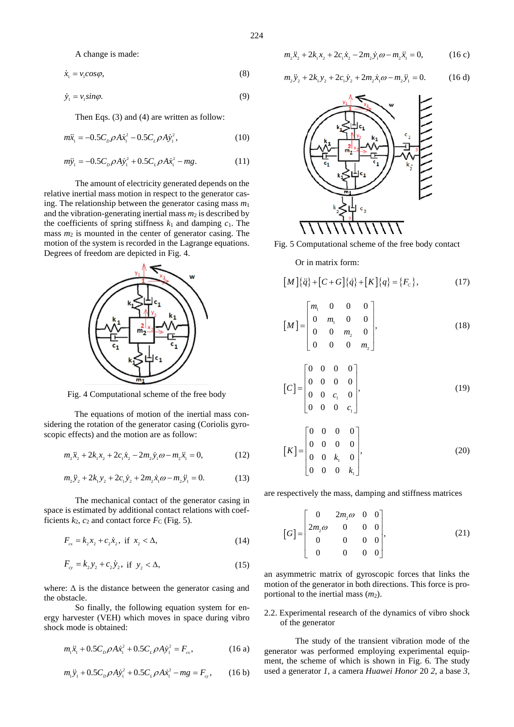A change is made:

 $\dot{x}_1 = v_1 cos \varphi$ , (8)

$$
\dot{y}_1 = v_1 \sin \varphi. \tag{9}
$$

Then Eqs. (3) and (4) are written as follow:

$$
m\ddot{x}_1 = -0.5C_p \rho A \dot{x}_1^2 - 0.5C_L \rho A \dot{y}_1^2, \qquad (10)
$$

$$
m\ddot{y}_1 = -0.5C_p \rho A \dot{y}_1^2 + 0.5C_p \rho A \dot{x}_1^2 - mg.
$$
 (11)

The amount of electricity generated depends on the relative inertial mass motion in respect to the generator casing. The relationship between the generator casing mass *m*<sup>1</sup> and the vibration-generating inertial mass  $m_2$  is described by the coefficients of spring stiffness  $k_1$  and damping  $c_1$ . The mass  $m_2$  is mounted in the center of generator casing. The motion of the system is recorded in the Lagrange equations. Degrees of freedom are depicted in Fig*.* 4.



Fig. 4 Computational scheme of the free body

The equations of motion of the inertial mass considering the rotation of the generator casing (Coriolis gyroscopic effects) and the motion are as follow:

$$
m_2\ddot{x}_2 + 2k_1x_2 + 2c_1\dot{x}_2 - 2m_2\dot{y}_1\omega - m_2\ddot{x}_1 = 0,
$$
 (12)

$$
m_2 \ddot{y}_2 + 2k_1 y_2 + 2c_1 \dot{y}_2 + 2m_2 \dot{x}_1 \omega - m_2 \ddot{y}_1 = 0.
$$
 (13)

The mechanical contact of the generator casing in space is estimated by additional contact relations with coefficients  $k_2$ ,  $c_2$  and contact force  $F_C$  (Fig. 5).

$$
F_{cx} = k_2 x_2 + c_2 \dot{x}_2, \text{ if } x_2 < \Delta,
$$
 (14)

$$
F_{cy} = k_2 y_2 + c_2 y_2, \text{ if } y_2 < \Delta,\tag{15}
$$

where:  $\Delta$  is the distance between the generator casing and the obstacle.

So finally, the following equation system for energy harvester (VEH) which moves in space during vibro shock mode is obtained:

$$
m_1\ddot{x}_1 + 0.5C_p\rho A\dot{x}_1^2 + 0.5C_p\rho A\dot{y}_1^2 = F_{cx},
$$
 (16 a)

$$
m_1 \ddot{y}_1 + 0.5 C_p \rho A \dot{y}_1^2 + 0.5 C_L \rho A \dot{x}_1^2 - mg = F_{cy}, \qquad (16 \text{ b})
$$

$$
m_2\ddot{x}_2 + 2k_1x_2 + 2c_1\dot{x}_2 - 2m_2\dot{y}_1\omega - m_2\ddot{x}_1 = 0,
$$
 (16 c)

$$
m_2 \ddot{y}_2 + 2k_1 y_2 + 2c_1 \dot{y}_2 + 2m_2 \dot{x}_1 \omega - m_2 \ddot{y}_1 = 0.
$$
 (16 d)





Or in matrix form:

$$
[M]{\ddot{q}} + [C + G]{\dot{q}} + [K]{q} = {F_c},
$$
\n(17)

$$
\begin{bmatrix} M \end{bmatrix} = \begin{bmatrix} m_1 & 0 & 0 & 0 \\ 0 & m_1 & 0 & 0 \\ 0 & 0 & m_2 & 0 \\ 0 & 0 & 0 & m_2 \end{bmatrix},
$$
 (18)

$$
\begin{bmatrix} C \end{bmatrix} = \begin{bmatrix} 0 & 0 & 0 & 0 \\ 0 & 0 & 0 & 0 \\ 0 & 0 & c_{1} & 0 \\ 0 & 0 & 0 & c_{1} \end{bmatrix}, \tag{19}
$$

$$
\begin{bmatrix} K \end{bmatrix} = \begin{bmatrix} 0 & 0 & 0 & 0 \\ 0 & 0 & 0 & 0 \\ 0 & 0 & k_{1} & 0 \\ 0 & 0 & 0 & k_{1} \end{bmatrix}, \tag{20}
$$

are respectively the mass, damping and stiffness matrices

$$
[G] = \begin{bmatrix} 0 & 2m_2\omega & 0 & 0 \\ 2m_2\omega & 0 & 0 & 0 \\ 0 & 0 & 0 & 0 \\ 0 & 0 & 0 & 0 \end{bmatrix},
$$
(21)

an asymmetric matrix of gyroscopic forces that links the motion of the generator in both directions. This force is proportional to the inertial mass  $(m<sub>2</sub>)$ .

2.2. Experimental research of the dynamics of vibro shock of the generator

The study of the transient vibration mode of the generator was performed employing experimental equipment, the scheme of which is shown in Fig. 6*.* The study used a generator *1*, a camera *Huawei Honor* 20 *2*, a base *3*,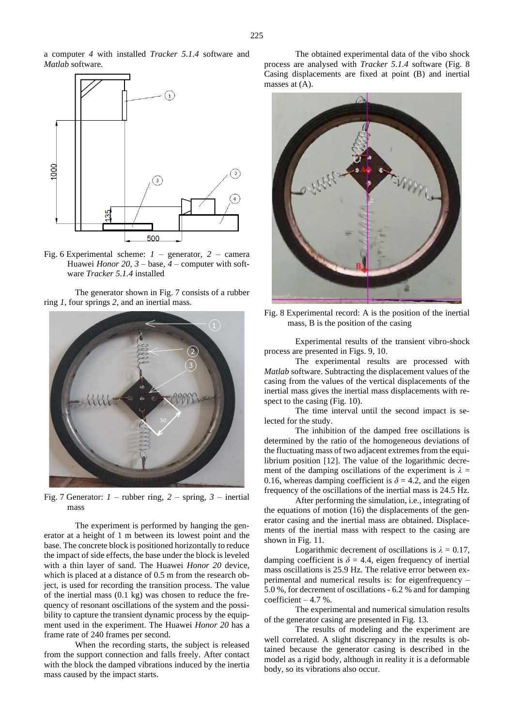a computer *4* with installed *Tracker 5.1.4* software and *Matlab* software.



Fig. 6 Experimental scheme: *1* – generator, *2* – camera Huawei *Honor 20*, *3* – base, *4* – computer with software *Tracker 5.1.4* installed

The generator shown in Fig*.* 7 consists of a rubber ring *1*, four springs *2*, and an inertial mass.



Fig. 7 Generator: *1* – rubber ring, *2* – spring, *3* – inertial mass

The experiment is performed by hanging the generator at a height of 1 m between its lowest point and the base. The concrete block is positioned horizontally to reduce the impact of side effects, the base under the block is leveled with a thin layer of sand. The Huawei *Honor 20* device, which is placed at a distance of 0.5 m from the research object, is used for recording the transition process. The value of the inertial mass (0.1 kg) was chosen to reduce the frequency of resonant oscillations of the system and the possibility to capture the transient dynamic process by the equipment used in the experiment. The Huawei *Honor 20* has a frame rate of 240 frames per second.

When the recording starts, the subject is released from the support connection and falls freely. After contact with the block the damped vibrations induced by the inertia mass caused by the impact starts.

The obtained experimental data of the vibo shock process are analysed with *Tracker 5.1.4* software (Fig. 8 Casing displacements are fixed at point (B) and inertial masses at (A).



Fig. 8 Experimental record: A is the position of the inertial mass, B is the position of the casing

Experimental results of the transient vibro-shock process are presented in Figs. 9, 10.

The experimental results are processed with *Matlab* software. Subtracting the displacement values of the casing from the values of the vertical displacements of the inertial mass gives the inertial mass displacements with respect to the casing (Fig*.* 10).

The time interval until the second impact is selected for the study.

The inhibition of the damped free oscillations is determined by the ratio of the homogeneous deviations of the fluctuating mass of two adjacent extremes from the equilibrium position [12]. The value of the logarithmic decrement of the damping oscillations of the experiment is  $\lambda =$ 0.16, whereas damping coefficient is  $\delta = 4.2$ , and the eigen frequency of the oscillations of the inertial mass is 24.5 Hz.

After performing the simulation, i.e., integrating of the equations of motion (16) the displacements of the generator casing and the inertial mass are obtained. Displacements of the inertial mass with respect to the casing are shown in Fig*.* 11*.*

Logarithmic decrement of oscillations is  $\lambda = 0.17$ , damping coefficient is  $\delta = 4.4$ , eigen frequency of inertial mass oscillations is 25.9 Hz. The relative error between experimental and numerical results is: for eigenfrequency – 5.0 %, for decrement of oscillations - 6.2 % and for damping coefficient – 4.7 %.

The experimental and numerical simulation results of the generator casing are presented in Fig*.* 13*.*

The results of modeling and the experiment are well correlated. A slight discrepancy in the results is obtained because the generator casing is described in the model as a rigid body, although in reality it is a deformable body, so its vibrations also occur.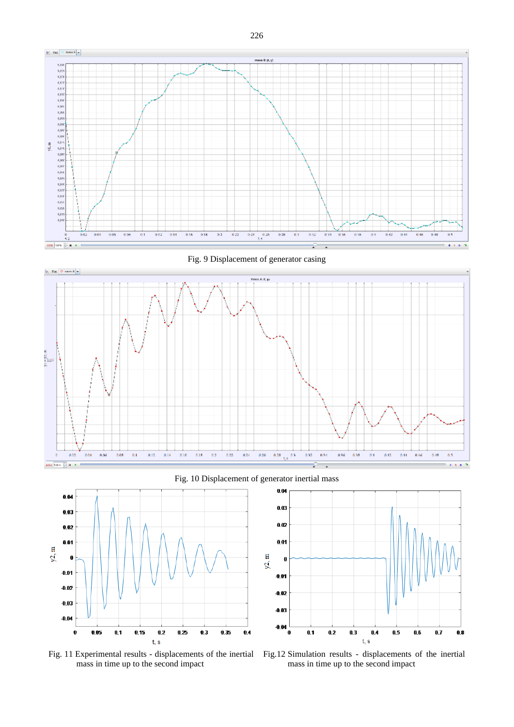

Fig. 9 Displacement of generator casing



Fig. 10 Displacement of generator inertial mass



Fig. 11 Experimental results - displacements of the inertial mass in time up to the second impact



Fig.12 Simulation results - displacements of the inertial mass in time up to the second impact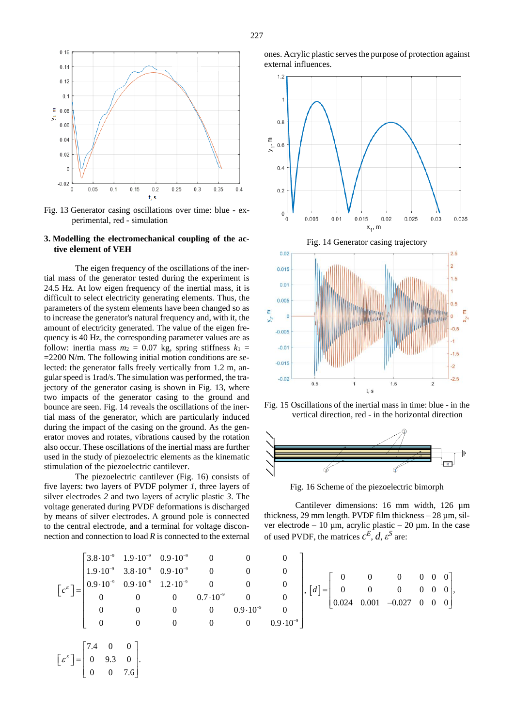

Fig. 13 Generator casing oscillations over time: blue - experimental, red - simulation

## **3. Modelling the electromechanical coupling of the active element of VEH**

The eigen frequency of the oscillations of the inertial mass of the generator tested during the experiment is 24.5 Hz. At low eigen frequency of the inertial mass, it is difficult to select electricity generating elements. Thus, the parameters of the system elements have been changed so as to increase the generator's natural frequency and, with it, the amount of electricity generated. The value of the eigen frequency is 40 Hz, the corresponding parameter values are as follow: inertia mass  $m_2 = 0.07$  kg, spring stiffness  $k_1 =$ =2200 N/m. The following initial motion conditions are selected: the generator falls freely vertically from 1.2 m, angular speed is 1rad/s. The simulation was performed, the trajectory of the generator casing is shown in Fig. 13, where two impacts of the generator casing to the ground and bounce are seen. Fig. 14 reveals the oscillations of the inertial mass of the generator, which are particularly induced during the impact of the casing on the ground. As the generator moves and rotates, vibrations caused by the rotation also occur. These oscillations of the inertial mass are further used in the study of piezoelectric elements as the kinematic stimulation of the piezoelectric cantilever.

The piezoelectric cantilever (Fig. 16) consists of five layers: two layers of PVDF polymer *1*, three layers of silver electrodes *2* and two layers of acrylic plastic *3*. The voltage generated during PVDF deformations is discharged by means of silver electrodes. A ground pole is connected to the central electrode, and a terminal for voltage disconones. Acrylic plastic serves the purpose of protection against external influences.



Fig. 15 Oscillations of the inertial mass in time: blue - in the vertical direction, red - in the horizontal direction



Fig. 16 Scheme of the piezoelectric bimorph

Cantilever dimensions: 16 mm width, 126 µm thickness, 29 mm length. PVDF film thickness  $-28 \mu m$ , silver electrode – 10  $\mu$ m, acrylic plastic – 20  $\mu$ m. In the case of used PVDF, the matrices  $c^E$ , *d*,  $\varepsilon^S$  are:

section and connection to load *R* is connected to the external  
\nof used PVDF, the matrices 
$$
c^E
$$
,  $d$ ,  $\varepsilon^S$  are:

\n
$$
\begin{bmatrix}\n3.8 \cdot 10^{-9} & 1.9 \cdot 10^{-9} & 0.9 \cdot 10^{-9} & 0 & 0 & 0 \\
1.9 \cdot 10^{-9} & 3.8 \cdot 10^{-9} & 0.9 \cdot 10^{-9} & 0 & 0 & 0 \\
0.9 \cdot 10^{-9} & 0.9 \cdot 10^{-9} & 1.2 \cdot 10^{-9} & 0 & 0 & 0 \\
0 & 0 & 0 & 0.7 \cdot 10^{-9} & 0 & 0 \\
0 & 0 & 0 & 0.9 \cdot 10^{-9} & 0 \\
0 & 0 & 0 & 0 & 0.9 \cdot 10^{-9}\n\end{bmatrix}, \begin{bmatrix} d \\ = \begin{bmatrix} 0 & 0 & 0 & 0 & 0 & 0 \\
0 & 0 & 0 & 0 & 0 \\
0.024 & 0.001 & -0.027 & 0 & 0 \\
0.024 & 0.001 & -0.027 & 0 & 0\n\end{bmatrix}
$$

$$
\begin{bmatrix} \varepsilon^s \end{bmatrix} = \begin{bmatrix} 7.4 & 0 & 0 \\ 0 & 9.3 & 0 \\ 0 & 0 & 7.6 \end{bmatrix}.
$$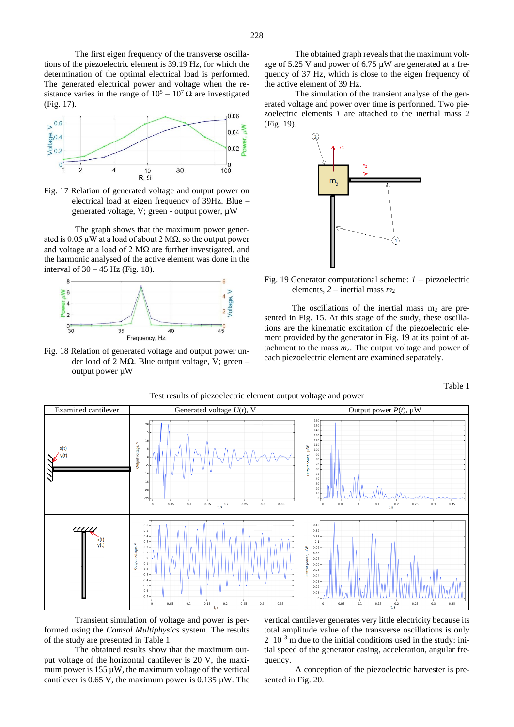The first eigen frequency of the transverse oscillations of the piezoelectric element is 39.19 Hz, for which the determination of the optimal electrical load is performed. The generated electrical power and voltage when the resistance varies in the range of  $10^5 - 10^7 \Omega$  are investigated (Fig*.* 17).



Fig. 17 Relation of generated voltage and output power on electrical load at eigen frequency of 39Hz. Blue – generated voltage, V; green - output power, µW

The graph shows that the maximum power generated is 0.05  $\mu$ W at a load of about 2 M $\Omega$ , so the output power and voltage at a load of 2  $M\Omega$  are further investigated, and the harmonic analysed of the active element was done in the interval of 30 – 45 Hz (Fig*.* 18).



Fig. 18 Relation of generated voltage and output power under load of 2 MΩ. Blue output voltage, V; green – output power µW

The obtained graph reveals that the maximum voltage of 5.25 V and power of 6.75 µW are generated at a frequency of 37 Hz, which is close to the eigen frequency of the active element of 39 Hz.

The simulation of the transient analyse of the generated voltage and power over time is performed. Two piezoelectric elements *1* are attached to the inertial mass *2* (Fig. 19).



Fig. 19 Generator computational scheme: *1* – piezoelectric elements,  $2$  – inertial mass  $m_2$ 

The oscillations of the inertial mass  $m_2$  are presented in Fig. 15. At this stage of the study, these oscillations are the kinematic excitation of the piezoelectric element provided by the generator in Fig. 19 at its point of attachment to the mass  $m_2$ . The output voltage and power of each piezoelectric element are examined separately.

Table 1



Test results of piezoelectric element output voltage and power

Transient simulation of voltage and power is performed using the *Comsol Multiphysics* system. The results of the study are presented in Table 1.

The obtained results show that the maximum output voltage of the horizontal cantilever is 20 V, the maximum power is  $155 \mu W$ , the maximum voltage of the vertical cantilever is 0.65 V, the maximum power is 0.135  $\mu$ W. The

vertical cantilever generates very little electricity because its total amplitude value of the transverse oscillations is only  $2 \times 10^{-3}$  m due to the initial conditions used in the study: initial speed of the generator casing, acceleration, angular frequency.

A conception of the piezoelectric harvester is presented in Fig. 20.